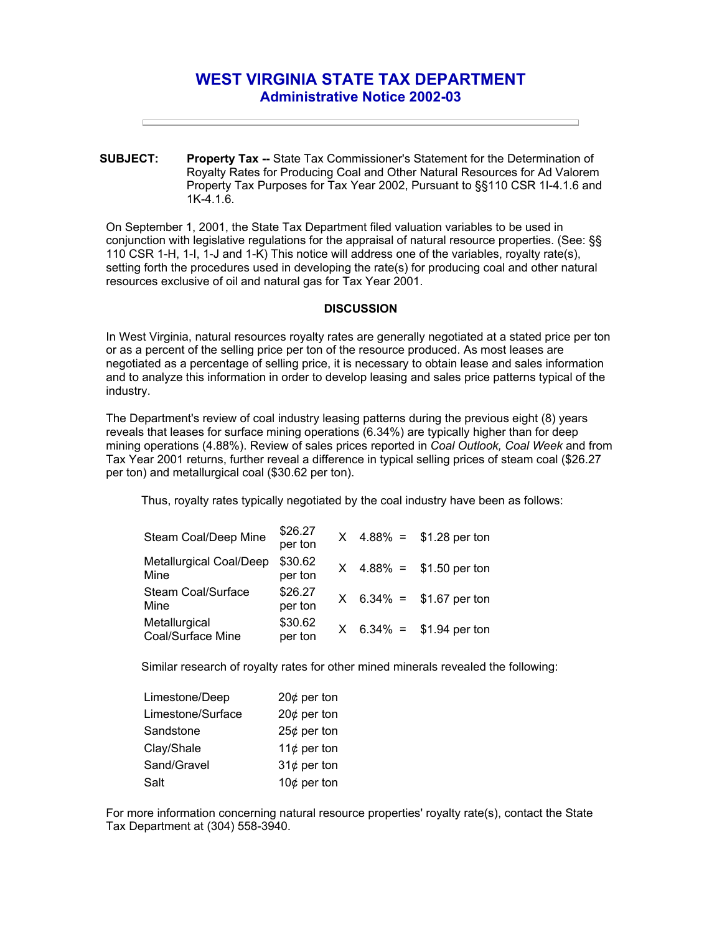## **WEST VIRGINIA STATE TAX DEPARTMENT Administrative Notice 2002-03**

**SUBJECT: Property Tax --** State Tax Commissioner's Statement for the Determination of Royalty Rates for Producing Coal and Other Natural Resources for Ad Valorem Property Tax Purposes for Tax Year 2002, Pursuant to §§110 CSR 1I-4.1.6 and 1K-4.1.6.

On September 1, 2001, the State Tax Department filed valuation variables to be used in conjunction with legislative regulations for the appraisal of natural resource properties. (See: §§ 110 CSR 1-H, 1-I, 1-J and 1-K) This notice will address one of the variables, royalty rate(s), setting forth the procedures used in developing the rate(s) for producing coal and other natural resources exclusive of oil and natural gas for Tax Year 2001.

## **DISCUSSION**

In West Virginia, natural resources royalty rates are generally negotiated at a stated price per ton or as a percent of the selling price per ton of the resource produced. As most leases are negotiated as a percentage of selling price, it is necessary to obtain lease and sales information and to analyze this information in order to develop leasing and sales price patterns typical of the industry.

The Department's review of coal industry leasing patterns during the previous eight (8) years reveals that leases for surface mining operations (6.34%) are typically higher than for deep mining operations (4.88%). Review of sales prices reported in *Coal Outlook, Coal Week* and from Tax Year 2001 returns, further reveal a difference in typical selling prices of steam coal (\$26.27 per ton) and metallurgical coal (\$30.62 per ton).

Thus, royalty rates typically negotiated by the coal industry have been as follows:

| Steam Coal/Deep Mine               | \$26.27<br>per ton |  | $X$ 4.88% = \$1.28 per ton |
|------------------------------------|--------------------|--|----------------------------|
| Metallurgical Coal/Deep<br>Mine    | \$30.62<br>per ton |  | $X$ 4.88% = \$1.50 per ton |
| Steam Coal/Surface<br>Mine         | \$26.27<br>per ton |  | $X$ 6.34% = \$1.67 per ton |
| Metallurgical<br>Coal/Surface Mine | \$30.62<br>per ton |  | $X$ 6.34% = \$1.94 per ton |

Similar research of royalty rates for other mined minerals revealed the following:

| Limestone/Deep    | 20 $¢$ per ton |
|-------------------|----------------|
| Limestone/Surface | 20 $¢$ per ton |
| Sandstone         | $25¢$ per ton  |
| Clay/Shale        | 11 $¢$ per ton |
| Sand/Gravel       | 31 $¢$ per ton |
| Salt              | 10 $¢$ per ton |

For more information concerning natural resource properties' royalty rate(s), contact the State Tax Department at (304) 558-3940.